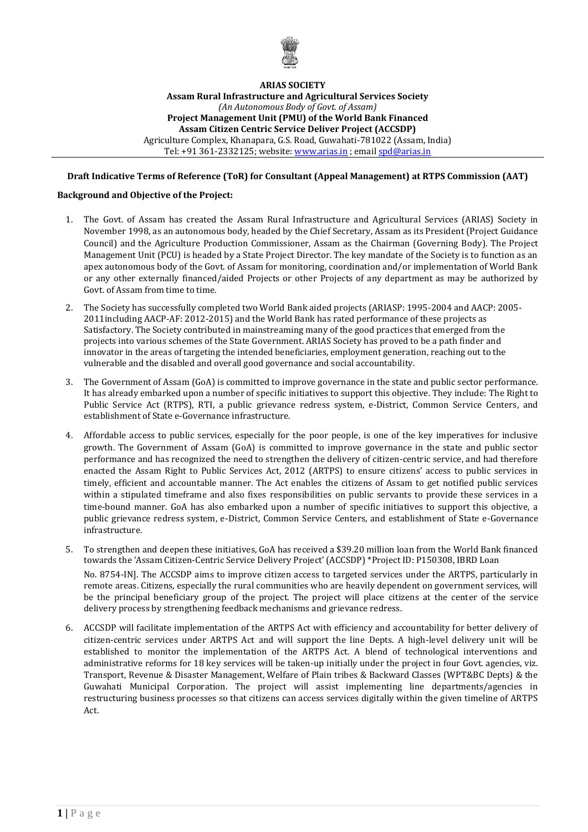

## **ARIAS SOCIETY**

**Assam Rural Infrastructure and Agricultural Services Society** *(An Autonomous Body of Govt. of Assam)* **Project Management Unit (PMU) of the World Bank Financed Assam Citizen Centric Service Deliver Project (ACCSDP)** Agriculture Complex, Khanapara, G.S. Road, Guwahati-781022 (Assam, India) Tel: +91 361-2332125; website[: www.arias.in](http://www.arias.in/) ; emai[l spd@arias.in](mailto:spd@arias.in)

## **Draft Indicative Terms of Reference (ToR) for Consultant (Appeal Management) at RTPS Commission (AAT)**

### **Background and Objective of the Project:**

- 1. The Govt. of Assam has created the Assam Rural Infrastructure and Agricultural Services (ARIAS) Society in November 1998, as an autonomous body, headed by the Chief Secretary, Assam as its President (Project Guidance Council) and the Agriculture Production Commissioner, Assam as the Chairman (Governing Body). The Project Management Unit (PCU) is headed by a State Project Director. The key mandate of the Society is to function as an apex autonomous body of the Govt. of Assam for monitoring, coordination and/or implementation of World Bank or any other externally financed/aided Projects or other Projects of any department as may be authorized by Govt. of Assam from time to time.
- 2. The Society has successfully completed two World Bank aided projects (ARIASP: 1995-2004 and AACP: 2005- 2011including AACP-AF: 2012-2015) and the World Bank has rated performance of these projects as Satisfactory. The Society contributed in mainstreaming many of the good practices that emerged from the projects into various schemes of the State Government. ARIAS Society has proved to be a path finder and innovator in the areas of targeting the intended beneficiaries, employment generation, reaching out to the vulnerable and the disabled and overall good governance and social accountability.
- 3. The Government of Assam (GoA) is committed to improve governance in the state and public sector performance. It has already embarked upon a number of specific initiatives to support this objective. They include: The Right to Public Service Act (RTPS), RTI, a public grievance redress system, e-District, Common Service Centers, and establishment of State e-Governance infrastructure.
- 4. Affordable access to public services, especially for the poor people, is one of the key imperatives for inclusive growth. The Government of Assam (GoA) is committed to improve governance in the state and public sector performance and has recognized the need to strengthen the delivery of citizen-centric service, and had therefore enacted the Assam Right to Public Services Act, 2012 (ARTPS) to ensure citizens' access to public services in timely, efficient and accountable manner. The Act enables the citizens of Assam to get notified public services within a stipulated timeframe and also fixes responsibilities on public servants to provide these services in a time-bound manner. GoA has also embarked upon a number of specific initiatives to support this objective, a public grievance redress system, e-District, Common Service Centers, and establishment of State e-Governance infrastructure.
- 5. To strengthen and deepen these initiatives, GoA has received a \$39.20 million loan from the World Bank financed towards the 'Assam Citizen-Centric Service Delivery Project' (ACCSDP) \*Project ID: P150308, IBRD Loan No. 8754-IN]. The ACCSDP aims to improve citizen access to targeted services under the ARTPS, particularly in remote areas. Citizens, especially the rural communities who are heavily dependent on government services, will be the principal beneficiary group of the project. The project will place citizens at the center of the service delivery process by strengthening feedback mechanisms and grievance redress.
- 6. ACCSDP will facilitate implementation of the ARTPS Act with efficiency and accountability for better delivery of citizen-centric services under ARTPS Act and will support the line Depts. A high-level delivery unit will be established to monitor the implementation of the ARTPS Act. A blend of technological interventions and administrative reforms for 18 key services will be taken-up initially under the project in four Govt. agencies, viz. Transport, Revenue & Disaster Management, Welfare of Plain tribes & Backward Classes (WPT&BC Depts) & the Guwahati Municipal Corporation. The project will assist implementing line departments/agencies in restructuring business processes so that citizens can access services digitally within the given timeline of ARTPS Act.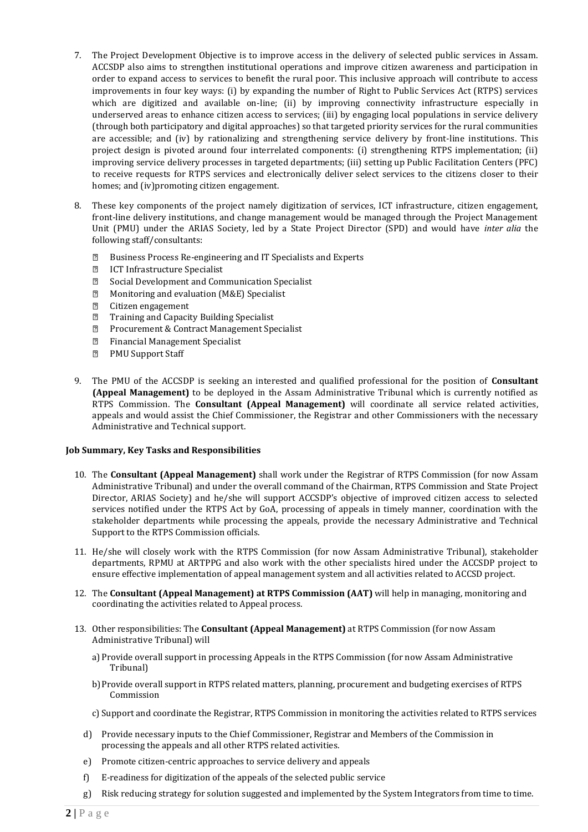- 7. The Project Development Objective is to improve access in the delivery of selected public services in Assam. ACCSDP also aims to strengthen institutional operations and improve citizen awareness and participation in order to expand access to services to benefit the rural poor. This inclusive approach will contribute to access improvements in four key ways: (i) by expanding the number of Right to Public Services Act (RTPS) services which are digitized and available on-line; (ii) by improving connectivity infrastructure especially in underserved areas to enhance citizen access to services; (iii) by engaging local populations in service delivery (through both participatory and digital approaches) so that targeted priority services for the rural communities are accessible; and (iv) by rationalizing and strengthening service delivery by front-line institutions. This project design is pivoted around four interrelated components: (i) strengthening RTPS implementation; (ii) improving service delivery processes in targeted departments; (iii) setting up Public Facilitation Centers (PFC) to receive requests for RTPS services and electronically deliver select services to the citizens closer to their homes; and (iv)promoting citizen engagement.
- 8. These key components of the project namely digitization of services, ICT infrastructure, citizen engagement, front-line delivery institutions, and change management would be managed through the Project Management Unit (PMU) under the ARIAS Society, led by a State Project Director (SPD) and would have *inter alia* the following staff/consultants:
	- Business Process Re-engineering and IT Specialists and Experts  $\mathbb{R}$
	- $\boxed{2}$ ICT Infrastructure Specialist
	- $\boxed{2}$ Social Development and Communication Specialist
	- $\boxed{2}$ Monitoring and evaluation (M&E) Specialist
	- $\sqrt{2}$ Citizen engagement
	- Training and Capacity Building Specialist  $\sqrt{2}$
	- $\overline{2}$ Procurement & Contract Management Specialist
	- $\overline{2}$ Financial Management Specialist
	- $\sqrt{2}$ PMU Support Staff
- 9. The PMU of the ACCSDP is seeking an interested and qualified professional for the position of **Consultant (Appeal Management)** to be deployed in the Assam Administrative Tribunal which is currently notified as RTPS Commission. The **Consultant (Appeal Management)** will coordinate all service related activities, appeals and would assist the Chief Commissioner, the Registrar and other Commissioners with the necessary Administrative and Technical support.

# **Job Summary, Key Tasks and Responsibilities**

- 10. The **Consultant (Appeal Management)** shall work under the Registrar of RTPS Commission (for now Assam Administrative Tribunal) and under the overall command of the Chairman, RTPS Commission and State Project Director, ARIAS Society) and he/she will support ACCSDP's objective of improved citizen access to selected services notified under the RTPS Act by GoA, processing of appeals in timely manner, coordination with the stakeholder departments while processing the appeals, provide the necessary Administrative and Technical Support to the RTPS Commission officials.
- 11. He/she will closely work with the RTPS Commission (for now Assam Administrative Tribunal), stakeholder departments, RPMU at ARTPPG and also work with the other specialists hired under the ACCSDP project to ensure effective implementation of appeal management system and all activities related to ACCSD project.
- 12. The **Consultant (Appeal Management) at RTPS Commission (AAT)** will help in managing, monitoring and coordinating the activities related to Appeal process.
- 13. Other responsibilities: The **Consultant (Appeal Management)** at RTPS Commission (for now Assam Administrative Tribunal) will
	- a) Provide overall support in processing Appeals in the RTPS Commission (for now Assam Administrative Tribunal)
	- b)Provide overall support in RTPS related matters, planning, procurement and budgeting exercises of RTPS Commission
	- c) Support and coordinate the Registrar, RTPS Commission in monitoring the activities related to RTPS services
	- d) Provide necessary inputs to the Chief Commissioner, Registrar and Members of the Commission in processing the appeals and all other RTPS related activities.
	- e) Promote citizen-centric approaches to service delivery and appeals
	- f) E-readiness for digitization of the appeals of the selected public service
	- g) Risk reducing strategy for solution suggested and implemented by the System Integrators from time to time.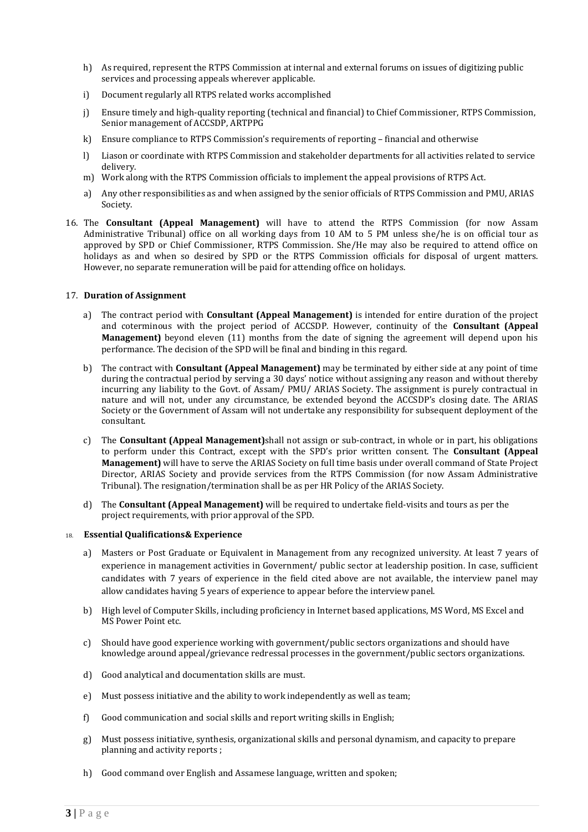- h) As required, represent the RTPS Commission at internal and external forums on issues of digitizing public services and processing appeals wherever applicable.
- i) Document regularly all RTPS related works accomplished
- j) Ensure timely and high-quality reporting (technical and financial) to Chief Commissioner, RTPS Commission, Senior management of ACCSDP, ARTPPG
- k) Ensure compliance to RTPS Commission's requirements of reporting financial and otherwise
- l) Liason or coordinate with RTPS Commission and stakeholder departments for all activities related to service delivery.
- m) Work along with the RTPS Commission officials to implement the appeal provisions of RTPS Act.
- a) Any other responsibilities as and when assigned by the senior officials of RTPS Commission and PMU, ARIAS Society.
- 16. The **Consultant (Appeal Management)** will have to attend the RTPS Commission (for now Assam Administrative Tribunal) office on all working days from 10 AM to 5 PM unless she/he is on official tour as approved by SPD or Chief Commissioner, RTPS Commission. She/He may also be required to attend office on holidays as and when so desired by SPD or the RTPS Commission officials for disposal of urgent matters. However, no separate remuneration will be paid for attending office on holidays.

### 17. **Duration of Assignment**

- a) The contract period with **Consultant (Appeal Management)** is intended for entire duration of the project and coterminous with the project period of ACCSDP. However, continuity of the **Consultant (Appeal Management)** beyond eleven (11) months from the date of signing the agreement will depend upon his performance. The decision of the SPD will be final and binding in this regard.
- b) The contract with **Consultant (Appeal Management)** may be terminated by either side at any point of time during the contractual period by serving a 30 days' notice without assigning any reason and without thereby incurring any liability to the Govt. of Assam/ PMU/ ARIAS Society. The assignment is purely contractual in nature and will not, under any circumstance, be extended beyond the ACCSDP's closing date. The ARIAS Society or the Government of Assam will not undertake any responsibility for subsequent deployment of the consultant.
- c) The **Consultant (Appeal Management)**shall not assign or sub-contract, in whole or in part, his obligations to perform under this Contract, except with the SPD's prior written consent. The **Consultant (Appeal Management)** will have to serve the ARIAS Society on full time basis under overall command of State Project Director, ARIAS Society and provide services from the RTPS Commission (for now Assam Administrative Tribunal). The resignation/termination shall be as per HR Policy of the ARIAS Society.
- d) The **Consultant (Appeal Management)** will be required to undertake field-visits and tours as per the project requirements, with prior approval of the SPD.

#### 18. **Essential Qualifications& Experience**

- a) Masters or Post Graduate or Equivalent in Management from any recognized university. At least 7 years of experience in management activities in Government/ public sector at leadership position. In case, sufficient candidates with 7 years of experience in the field cited above are not available, the interview panel may allow candidates having 5 years of experience to appear before the interview panel.
- b) High level of Computer Skills, including proficiency in Internet based applications, MS Word, MS Excel and MS Power Point etc.
- c) Should have good experience working with government/public sectors organizations and should have knowledge around appeal/grievance redressal processes in the government/public sectors organizations.
- d) Good analytical and documentation skills are must.
- e) Must possess initiative and the ability to work independently as well as team;
- f) Good communication and social skills and report writing skills in English;
- g) Must possess initiative, synthesis, organizational skills and personal dynamism, and capacity to prepare planning and activity reports ;
- h) Good command over English and Assamese language, written and spoken;